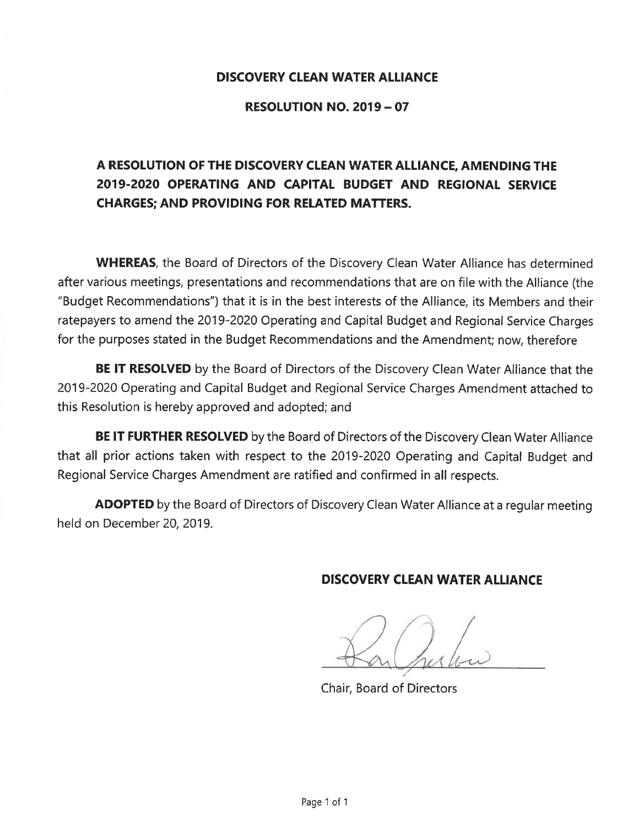#### **DISCOVERY CLEAN WATER ALLIANCE**

#### **RESOLUTION NO. 2019 - 07**

# A RESOLUTION OF THE DISCOVERY CLEAN WATER ALLIANCE, AMENDING THE 2019-2020 OPERATING AND CAPITAL BUDGET AND REGIONAL SERVICE **CHARGES: AND PROVIDING FOR RELATED MATTERS.**

**WHEREAS**, the Board of Directors of the Discovery Clean Water Alliance has determined after various meetings, presentations and recommendations that are on file with the Alliance (the "Budget Recommendations") that it is in the best interests of the Alliance, its Members and their ratepayers to amend the 2019-2020 Operating and Capital Budget and Regional Service Charges for the purposes stated in the Budget Recommendations and the Amendment; now, therefore

**BE IT RESOLVED** by the Board of Directors of the Discovery Clean Water Alliance that the 2019-2020 Operating and Capital Budget and Regional Service Charges Amendment attached to this Resolution is hereby approved and adopted; and

BE IT FURTHER RESOLVED by the Board of Directors of the Discovery Clean Water Alliance that all prior actions taken with respect to the 2019-2020 Operating and Capital Budget and Regional Service Charges Amendment are ratified and confirmed in all respects.

**ADOPTED** by the Board of Directors of Discovery Clean Water Alliance at a regular meeting held on December 20, 2019.

#### **DISCOVERY CLEAN WATER ALLIANCE**

Chair, Board of Directors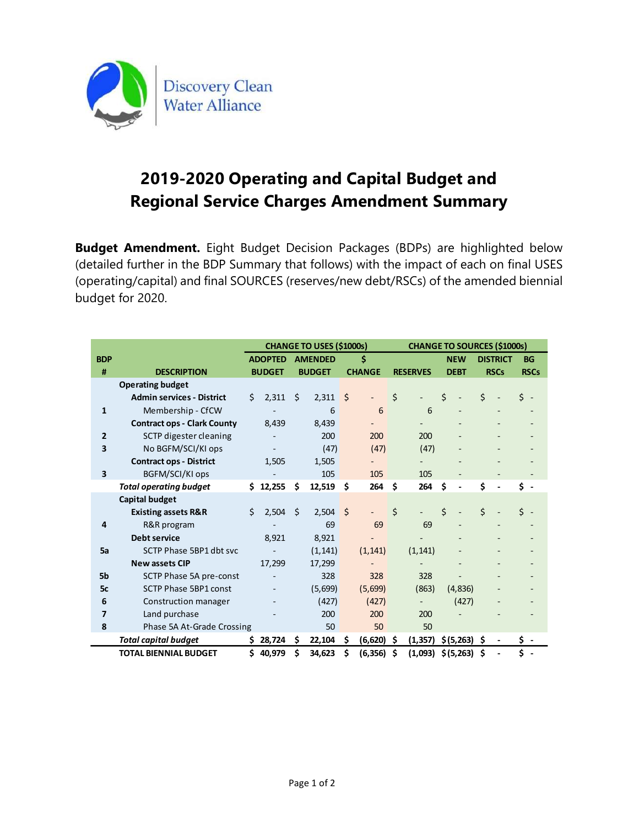

# 2019-2020 Operating and Capital Budget and Regional Service Charges Amendment Summary

|                         | 2019-2020 Operating and Capital Budget and                                                                                                                                                     |                          |                                 |               |                                    |             |       |                 |             |
|-------------------------|------------------------------------------------------------------------------------------------------------------------------------------------------------------------------------------------|--------------------------|---------------------------------|---------------|------------------------------------|-------------|-------|-----------------|-------------|
|                         | <b>Regional Service Charges Amendment Summary</b><br>dget Amendment. Eight Budget Decision Packages (BDPs) are highlighted below                                                               |                          |                                 |               |                                    |             |       |                 |             |
|                         | tailed further in the BDP Summary that follows) with the impact of each on final USES<br>erating/capital) and final SOURCES (reserves/new debt/RSCs) of the amended biennial<br>dget for 2020. |                          |                                 |               |                                    |             |       |                 |             |
|                         |                                                                                                                                                                                                |                          | <b>CHANGE TO USES (\$1000s)</b> |               | <b>CHANGE TO SOURCES (\$1000s)</b> |             |       |                 |             |
| <b>BDP</b>              |                                                                                                                                                                                                |                          | ADOPTED AMENDED                 | \$            |                                    | <b>NEW</b>  |       | <b>DISTRICT</b> | BG          |
| #                       | <b>DESCRIPTION</b>                                                                                                                                                                             | <b>BUDGET</b>            | <b>BUDGET</b>                   | <b>CHANGE</b> | <b>RESERVES</b>                    | <b>DEBT</b> |       | <b>RSCs</b>     | <b>RSCs</b> |
|                         | <b>Operating budget</b>                                                                                                                                                                        |                          |                                 |               |                                    |             |       |                 |             |
|                         | <b>Admin services - District</b>                                                                                                                                                               | $$2,311$ \$              | $2,311$ \$                      |               |                                    |             |       |                 | S -         |
| 1                       | Membership - CfCW                                                                                                                                                                              |                          | 6                               | 6             | 6                                  |             |       |                 |             |
|                         | <b>Contract ops - Clark County</b>                                                                                                                                                             | 8,439                    | 8,439                           |               |                                    |             |       |                 |             |
| $\mathbf{2}$            | SCTP digester cleaning                                                                                                                                                                         |                          | 200                             | 200           | 200                                |             |       |                 |             |
| 3                       | No BGFM/SCI/KI ops                                                                                                                                                                             | $\overline{\phantom{a}}$ | (47)                            | (47)          | (47)                               |             |       |                 |             |
|                         | <b>Contract ops - District</b>                                                                                                                                                                 | 1,505                    | 1,505                           |               |                                    |             |       |                 |             |
| 3                       | BGFM/SCI/KI ops                                                                                                                                                                                |                          | 105                             | 105           | 105                                |             |       |                 |             |
|                         | <b>Total operating budget</b>                                                                                                                                                                  | $$12,255$ \$             | $12,519$ \$                     | $264$ \$      | 264                                | S           |       | \$.             | \$ -        |
|                         | <b>Capital budget</b>                                                                                                                                                                          |                          |                                 |               |                                    |             |       |                 |             |
|                         | <b>Existing assets R&amp;R</b>                                                                                                                                                                 | $$2,504$ \$              | $2,504$ \$                      |               | \$                                 |             |       |                 | s -         |
| 4                       | R&R program                                                                                                                                                                                    |                          | 69                              | 69            | 69                                 |             |       |                 |             |
|                         | Debt service                                                                                                                                                                                   | 8,921                    | 8,921                           |               |                                    |             |       |                 |             |
| 5a                      | SCTP Phase 5BP1 dbt svc                                                                                                                                                                        | $\sim$                   | (1, 141)                        | (1, 141)      | (1, 141)                           |             |       |                 |             |
|                         | New assets CIP                                                                                                                                                                                 | 17,299                   | 17,299                          |               |                                    |             |       |                 |             |
| 5b                      | SCTP Phase 5A pre-const                                                                                                                                                                        |                          | 328                             | 328           | 328                                |             |       |                 |             |
|                         | SCTP Phase 5BP1 const                                                                                                                                                                          |                          | (5,699)                         | (5,699)       | (863)                              | (4, 836)    |       |                 |             |
| 5c                      | Construction manager                                                                                                                                                                           |                          | (427)                           | (427)         | $\sim$                             |             | (427) |                 |             |
| 6                       |                                                                                                                                                                                                |                          | 200                             | 200           | 200                                |             |       |                 |             |
| $\overline{\mathbf{z}}$ | Land purchase                                                                                                                                                                                  |                          | 50                              | 50            | $50\,$                             |             |       |                 |             |
| 8                       | Phase 5A At-Grade Crossing                                                                                                                                                                     |                          |                                 |               |                                    |             |       |                 |             |
|                         | <b>Total capital budget</b>                                                                                                                                                                    | \$28,724\$               | $22,104$ \$                     | $(6,620)$ \$  | $(1,357)$ \$(5,263) \$ -           |             |       |                 |             |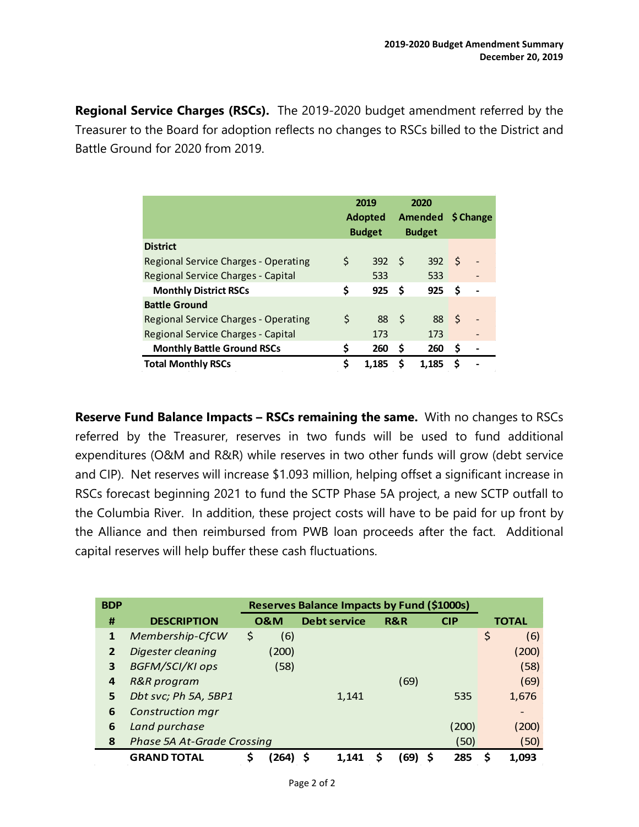**Regional Service Charges (RSCs).** The 2019-2020 budget amendment referred by the Treasurer to the Board for adoption reflects no changes to RSCs billed to the District and Battle Ground for 2020 from 2019.

|                                      | 2019<br><b>Adopted</b><br><b>Budget</b> |      | 2020<br><b>Amended</b><br><b>Budget</b> |    | \$ Change |
|--------------------------------------|-----------------------------------------|------|-----------------------------------------|----|-----------|
| <b>District</b>                      |                                         |      |                                         |    |           |
| Regional Service Charges - Operating | \$<br>392                               | - \$ | 392                                     | -S |           |
| Regional Service Charges - Capital   | 533                                     |      | 533                                     |    |           |
| <b>Monthly District RSCs</b>         | \$<br>925                               | S    | 925                                     | \$ |           |
| <b>Battle Ground</b>                 |                                         |      |                                         |    |           |
| Regional Service Charges - Operating | \$<br>88                                | - \$ | 88                                      | \$ |           |
| Regional Service Charges - Capital   | 173                                     |      | 173                                     |    |           |
| <b>Monthly Battle Ground RSCs</b>    | \$<br>260                               | S    | 260                                     | \$ |           |
| <b>Total Monthly RSCs</b>            | \$<br>1.185                             | S    | 1.185                                   | \$ |           |

**Reserve Fund Balance Impacts – RSCs remaining the same.** With no changes to RSCs referred by the Treasurer, reserves in two funds will be used to fund additional expenditures (O&M and R&R) while reserves in two other funds will grow (debt service and CIP). Net reserves will increase \$1.093 million, helping offset a significant increase in RSCs forecast beginning 2021 to fund the SCTP Phase 5A project, a new SCTP outfall to the Columbia River. In addition, these project costs will have to be paid for up front by the Alliance and then reimbursed from PWB loan proceeds after the fact. Additional capital reserves will help buffer these cash fluctuations.

| <b>BDP</b>     |                                   |                | Reserves Balance Impacts by Fund (\$1000s) |      |            |              |
|----------------|-----------------------------------|----------------|--------------------------------------------|------|------------|--------------|
| #              | <b>DESCRIPTION</b>                | <b>0&amp;M</b> | <b>Debt service</b>                        | R&R  | <b>CIP</b> | <b>TOTAL</b> |
| 1              | Membership-CfCW                   | \$<br>(6)      |                                            |      |            | \$<br>(6)    |
| $\overline{2}$ | Digester cleaning                 | (200)          |                                            |      |            | (200)        |
| 3              | <b>BGFM/SCI/KI ops</b>            | (58)           |                                            |      |            | (58)         |
| 4              | R&R program                       |                |                                            | (69) |            | (69)         |
| 5              | Dbt svc; Ph 5A, 5BP1              |                | 1,141                                      |      | 535        | 1,676        |
| 6              | Construction mgr                  |                |                                            |      |            |              |
| 6              | Land purchase                     |                |                                            |      | (200)      | (200)        |
| 8              | <b>Phase 5A At-Grade Crossing</b> |                |                                            |      | (50)       | (50)         |
|                | <b>GRAND TOTAL</b>                | \$<br>(264)    | 1.141                                      | (69) | 285        | 1,093        |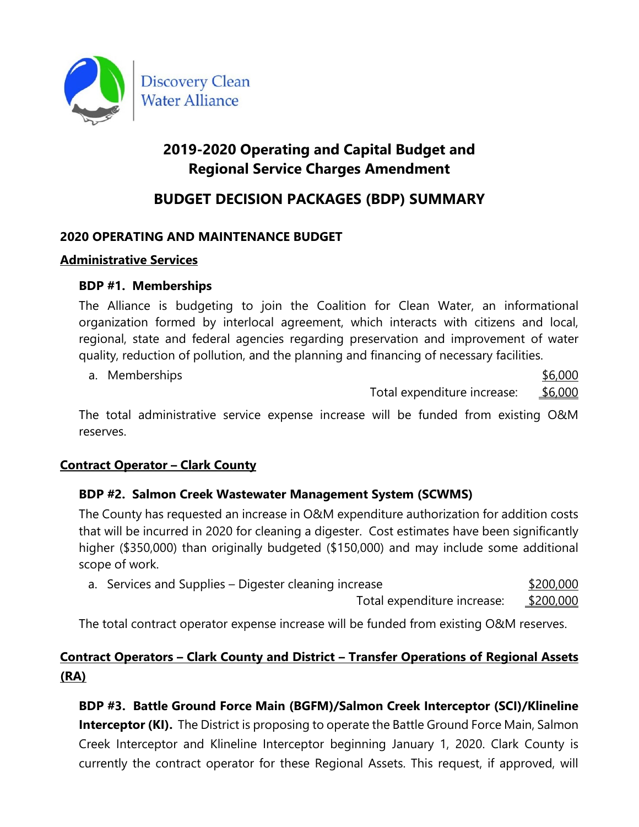

# **2019-2020 Operating and Capital Budget and Regional Service Charges Amendment**

# **BUDGET DECISION PACKAGES (BDP) SUMMARY**

# **2020 OPERATING AND MAINTENANCE BUDGET**

## **Administrative Services**

## **BDP #1. Memberships**

The Alliance is budgeting to join the Coalition for Clean Water, an informational organization formed by interlocal agreement, which interacts with citizens and local, regional, state and federal agencies regarding preservation and improvement of water quality, reduction of pollution, and the planning and financing of necessary facilities.

a. Memberships  $$6,000$ Total expenditure increase: \$6,000

The total administrative service expense increase will be funded from existing O&M reserves.

# **Contract Operator – Clark County**

# **BDP #2. Salmon Creek Wastewater Management System (SCWMS)**

The County has requested an increase in O&M expenditure authorization for addition costs that will be incurred in 2020 for cleaning a digester. Cost estimates have been significantly higher (\$350,000) than originally budgeted (\$150,000) and may include some additional scope of work.

| a. Services and Supplies – Digester cleaning increase |           |  |  |
|-------------------------------------------------------|-----------|--|--|
| Total expenditure increase:                           | \$200,000 |  |  |

The total contract operator expense increase will be funded from existing O&M reserves.

# **Contract Operators – Clark County and District – Transfer Operations of Regional Assets (RA)**

**BDP #3. Battle Ground Force Main (BGFM)/Salmon Creek Interceptor (SCI)/Klineline Interceptor (KI).** The District is proposing to operate the Battle Ground Force Main, Salmon Creek Interceptor and Klineline Interceptor beginning January 1, 2020. Clark County is currently the contract operator for these Regional Assets. This request, if approved, will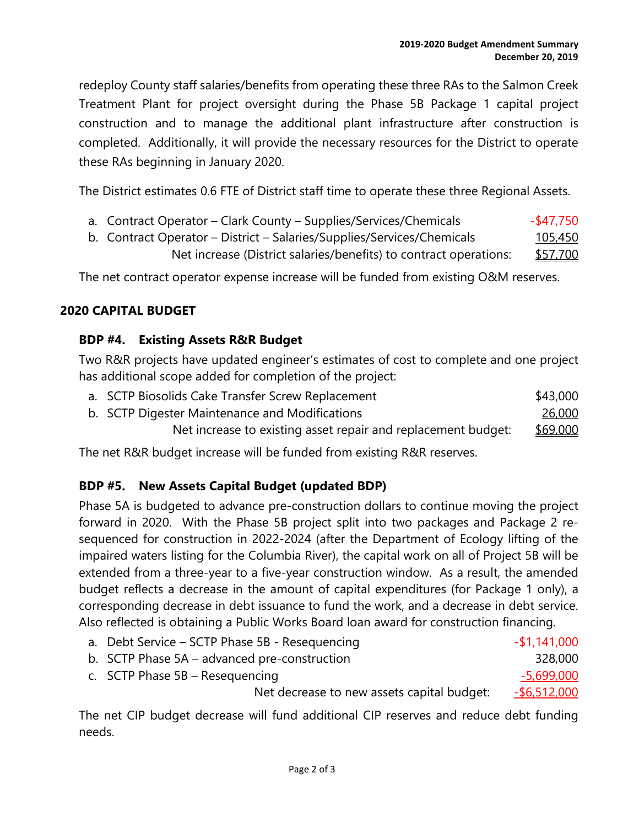redeploy County staff salaries/benefits from operating these three RAs to the Salmon Creek Treatment Plant for project oversight during the Phase 5B Package 1 capital project construction and to manage the additional plant infrastructure after construction is completed. Additionally, it will provide the necessary resources for the District to operate these RAs beginning in January 2020.

The District estimates 0.6 FTE of District staff time to operate these three Regional Assets.

- a. Contract Operator Clark County Supplies/Services/Chemicals  $$47,750$
- b. Contract Operator District Salaries/Supplies/Services/Chemicals 105,450 Net increase (District salaries/benefits) to contract operations: \$57,700

The net contract operator expense increase will be funded from existing O&M reserves.

## **2020 CAPITAL BUDGET**

## **BDP #4. Existing Assets R&R Budget**

Two R&R projects have updated engineer's estimates of cost to complete and one project has additional scope added for completion of the project:

| a. SCTP Biosolids Cake Transfer Screw Replacement             | \$43,000        |
|---------------------------------------------------------------|-----------------|
| b. SCTP Digester Maintenance and Modifications                | 26,000          |
| Net increase to existing asset repair and replacement budget: | <u>\$69,000</u> |

The net R&R budget increase will be funded from existing R&R reserves.

# **BDP #5. New Assets Capital Budget (updated BDP)**

Phase 5A is budgeted to advance pre-construction dollars to continue moving the project forward in 2020. With the Phase 5B project split into two packages and Package 2 resequenced for construction in 2022-2024 (after the Department of Ecology lifting of the impaired waters listing for the Columbia River), the capital work on all of Project 5B will be extended from a three-year to a five-year construction window. As a result, the amended budget reflects a decrease in the amount of capital expenditures (for Package 1 only), a corresponding decrease in debt issuance to fund the work, and a decrease in debt service. Also reflected is obtaining a Public Works Board loan award for construction financing.

| a. Debt Service - SCTP Phase 5B - Resequencing | $-$ \$1,141,000     |
|------------------------------------------------|---------------------|
| b. SCTP Phase 5A – advanced pre-construction   | 328,000             |
| c. SCTP Phase $5B -$ Resequencing              | $-5,699,000$        |
| Net decrease to new assets capital budget:     | <u>-\$6,512,000</u> |

The net CIP budget decrease will fund additional CIP reserves and reduce debt funding needs.